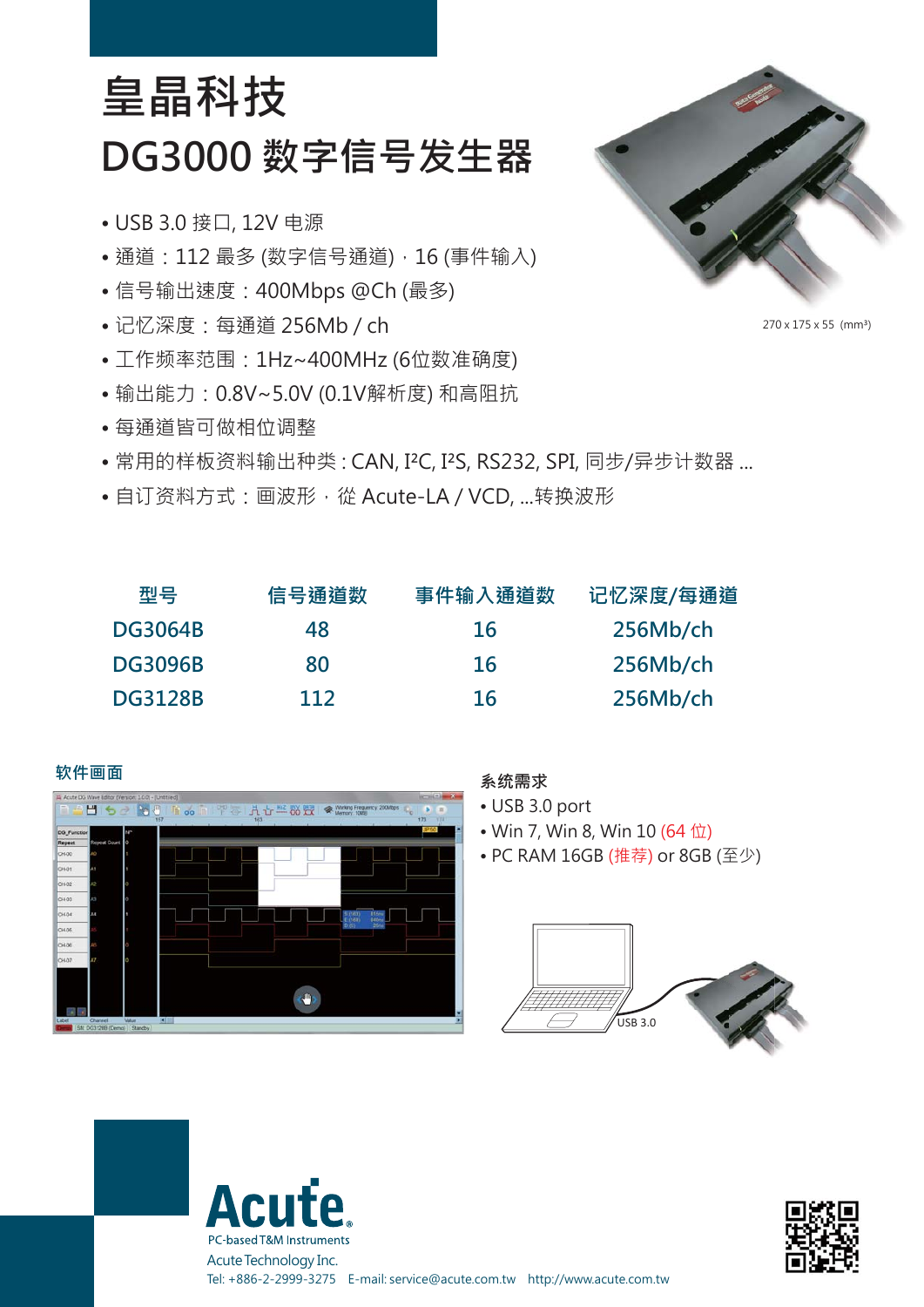## **DG3000 数字信号发生器 皇晶科技**

- USB 3.0 接口, 12V 电源
- 通道: 112 最多 (数字信号通道), 16 (事件输入)
- 信号输出速度:400Mbps @Ch (最多)
- 记忆深度:每通道 256Mb / ch
- 工作频率范围:1Hz~400MHz (6位数准确度)
- 输出能力:0.8V~5.0V (0.1V解析度) 和高阻抗
- 每通道皆可做相位调整
- 常用的样板资料输出种类: CAN, I<sup>2</sup>C, I<sup>2</sup>S, RS232, SPI, 同步/异步计数器 ...
- 自订资料方式:画波形,從 Acute-LA / VCD, ...转换波形

| 型묵             | 信号通道数 | 事件输入通道数 | 记忆深度/每通道 |
|----------------|-------|---------|----------|
| <b>DG3064B</b> | 48    | 16      | 256Mb/ch |
| <b>DG3096B</b> | 80    | 16      | 256Mb/ch |
| <b>DG3128B</b> | 112   | 16      | 256Mb/ch |



- USB 3.0 port
- Win 7, Win 8, Win 10 (64 位)
- PC RAM 16GB (推荐) or 8GB (至少)







**CUI** 



270 x 175 x 55 (mm³)